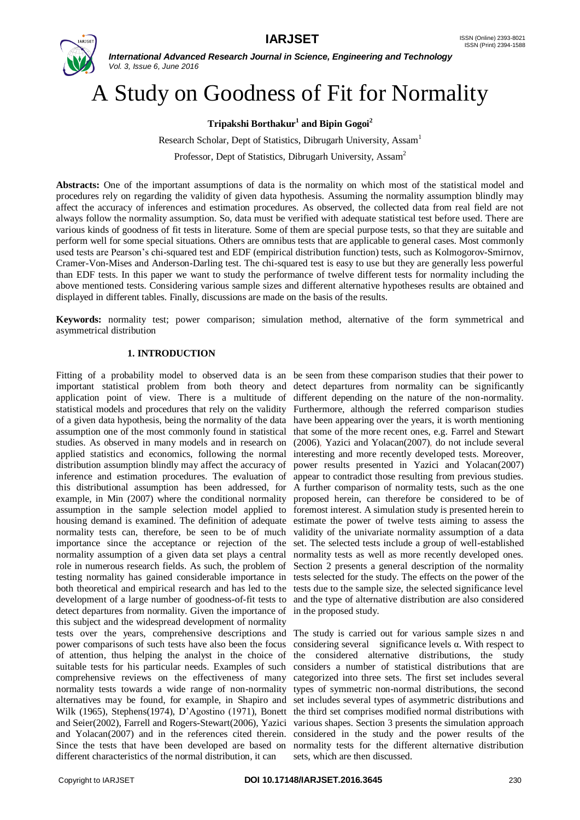

# A Study on Goodness of Fit for Normality

# **Tripakshi Borthakur<sup>1</sup> and Bipin Gogoi<sup>2</sup>**

Research Scholar, Dept of Statistics, Dibrugarh University, Assam<sup>1</sup>

Professor, Dept of Statistics, Dibrugarh University, Assam<sup>2</sup>

**Abstracts:** One of the important assumptions of data is the normality on which most of the statistical model and procedures rely on regarding the validity of given data hypothesis. Assuming the normality assumption blindly may affect the accuracy of inferences and estimation procedures. As observed, the collected data from real field are not always follow the normality assumption. So, data must be verified with adequate statistical test before used. There are various kinds of goodness of fit tests in literature. Some of them are special purpose tests, so that they are suitable and perform well for some special situations. Others are omnibus tests that are applicable to general cases. Most commonly used tests are Pearson's chi-squared test and EDF (empirical distribution function) tests, such as Kolmogorov-Smirnov, Cramer-Von-Mises and Anderson-Darling test. The chi-squared test is easy to use but they are generally less powerful than EDF tests. In this paper we want to study the performance of twelve different tests for normality including the above mentioned tests. Considering various sample sizes and different alternative hypotheses results are obtained and displayed in different tables. Finally, discussions are made on the basis of the results.

**Keywords:** normality test; power comparison; simulation method, alternative of the form symmetrical and asymmetrical distribution

# **1. INTRODUCTION**

Fitting of a probability model to observed data is an be seen from these comparison studies that their power to important statistical problem from both theory and detect departures from normality can be significantly application point of view. There is a multitude of statistical models and procedures that rely on the validity Furthermore, although the referred comparison studies of a given data hypothesis, being the normality of the data assumption one of the most commonly found in statistical studies. As observed in many models and in research on applied statistics and economics, following the normal distribution assumption blindly may affect the accuracy of inference and estimation procedures. The evaluation of this distributional assumption has been addressed, for example, in Min (2007) where the conditional normality assumption in the sample selection model applied to housing demand is examined. The definition of adequate normality tests can, therefore, be seen to be of much importance since the acceptance or rejection of the normality assumption of a given data set plays a central role in numerous research fields. As such, the problem of testing normality has gained considerable importance in both theoretical and empirical research and has led to the development of a large number of goodness-of-fit tests to detect departures from normality. Given the importance of this subject and the widespread development of normality tests over the years, comprehensive descriptions and The study is carried out for various sample sizes n and power comparisons of such tests have also been the focus of attention, thus helping the analyst in the choice of the considered alternative distributions, the study suitable tests for his particular needs. Examples of such comprehensive reviews on the effectiveness of many categorized into three sets. The first set includes several normality tests towards a wide range of non-normality types of symmetric non-normal distributions, the second alternatives may be found, for example, in Shapiro and set includes several types of asymmetric distributions and Wilk (1965), Stephens(1974), D'Agostino (1971), Bonett the third set comprises modified normal distributions with and Seier(2002), Farrell and Rogers-Stewart(2006), Yazici various shapes. Section 3 presents the simulation approach and Yolacan(2007) and in the references cited therein. considered in the study and the power results of the Since the tests that have been developed are based on normality tests for the different alternative distribution different characteristics of the normal distribution, it can

different depending on the nature of the non-normality. have been appearing over the years, it is worth mentioning that some of the more recent ones, e.g. Farrel and Stewart (2006), Yazici and Yolacan(2007), do not include several interesting and more recently developed tests. Moreover, power results presented in Yazici and Yolacan(2007) appear to contradict those resulting from previous studies. A further comparison of normality tests, such as the one proposed herein, can therefore be considered to be of foremost interest. A simulation study is presented herein to estimate the power of twelve tests aiming to assess the validity of the univariate normality assumption of a data set. The selected tests include a group of well-established normality tests as well as more recently developed ones. Section 2 presents a general description of the normality tests selected for the study. The effects on the power of the tests due to the sample size, the selected significance level and the type of alternative distribution are also considered in the proposed study.

considering several significance levels  $\alpha$ . With respect to considers a number of statistical distributions that are sets, which are then discussed.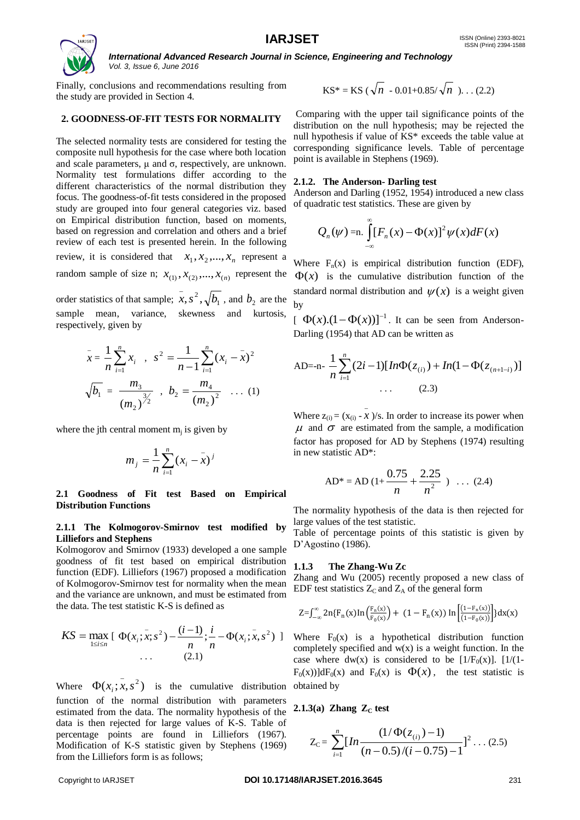

Finally, conclusions and recommendations resulting from the study are provided in Section 4.

# **2. GOODNESS-OF-FIT TESTS FOR NORMALITY**

The selected normality tests are considered for testing the composite null hypothesis for the case where both location and scale parameters,  $\mu$  and  $\sigma$ , respectively, are unknown. Normality test formulations differ according to the different characteristics of the normal distribution they focus. The goodness-of-fit tests considered in the proposed study are grouped into four general categories viz. based on Empirical distribution function, based on moments, based on regression and correlation and others and a brief review of each test is presented herein. In the following review, it is considered that  $x_1, x_2, ..., x_n$  represent a random sample of size n;  $x_{(1)}$ ,  $x_{(2)}$ , ...,  $x_{(n)}$  represent the order statistics of that sample;  $x, s^2, \sqrt{b_1}$  $\bar{x}$ ,  $s^2$ ,  $\sqrt{b_1}$ , and  $b_2$  are the

sample mean, variance, skewness and kurtosis, respectively, given by

$$
\bar{x} = \frac{1}{n} \sum_{i=1}^{n} x_i , s^2 = \frac{1}{n-1} \sum_{i=1}^{n} (x_i - \bar{x})^2
$$
  

$$
\sqrt{b_1} = \frac{m_3}{(m_2)^{3/2}}, b_2 = \frac{m_4}{(m_2)^2} \dots (1)
$$

where the jth central moment  $m_j$  is given by

$$
m_j = \frac{1}{n} \sum_{i=1}^n (x_i - \bar{x})^j
$$

**2.1 Goodness of Fit test Based on Empirical Distribution Functions**

#### **2.1.1 The Kolmogorov-Smirnov test modified by Lilliefors and Stephens**

Kolmogorov and Smirnov (1933) developed a one sample goodness of fit test based on empirical distribution function (EDF). Lilliefors (1967) proposed a modification of Kolmogorov-Smirnov test for normality when the mean and the variance are unknown, and must be estimated from the data. The test statistic K-S is defined as

$$
KS = \max_{1 \le i \le n} \left[ \Phi(x_i; \bar{x}; s^2) - \frac{(i-1)}{n}; \frac{i}{n} - \Phi(x_i; \bar{x}, s^2) \right] \dots (2.1)
$$

Where  $\Phi(x_i; \bar{x}, s^2)$  is the cumulative distribution obtained by function of the normal distribution with parameters estimated from the data. The normality hypothesis of the data is then rejected for large values of K-S. Table of percentage points are found in Lilliefors (1967). Modification of K-S statistic given by Stephens (1969) from the Lilliefors form is as follows;

$$
KS^* = KS\;(\sqrt{n} - 0.01 + 0.85/\sqrt{n}). \ldots (2.2)
$$

Comparing with the upper tail significance points of the distribution on the null hypothesis; may be rejected the null hypothesis if value of KS\* exceeds the table value at corresponding significance levels. Table of percentage point is available in Stephens (1969).

## **2.1.2. The Anderson- Darling test**

\_

Anderson and Darling (1952, 1954) introduced a new class of quadratic test statistics. These are given by

$$
Q_n(\psi) = n \int_{-\infty}^{\infty} [F_n(x) - \Phi(x)]^2 \psi(x) dF(x)
$$

Where  $F_n(x)$  is empirical distribution function (EDF),  $\Phi(x)$  is the cumulative distribution function of the standard normal distribution and  $\psi(x)$  is a weight given by

 $\left[ \Phi(x) \cdot (1 - \Phi(x)) \right]^{-1}$ . It can be seen from Anderson-Darling (1954) that AD can be written as

AD=-n- 
$$
\frac{1}{n} \sum_{i=1}^{n} (2i-1) [In\Phi(z_{(i)}) + In(1-\Phi(z_{(n+1-i)}))]
$$
  
... (2.3)

Where  $z_{(i)} = (x_{(i)} - x)$ /s. In order to increase its power when  $\mu$  and  $\sigma$  are estimated from the sample, a modification factor has proposed for AD by Stephens (1974) resulting in new statistic AD\*:

AD\* = AD (1+ 
$$
\frac{0.75}{n}
$$
 +  $\frac{2.25}{n^2}$  ) ... (2.4)

The normality hypothesis of the data is then rejected for large values of the test statistic.

Table of percentage points of this statistic is given by D'Agostino (1986).

#### **1.1.3 The Zhang-Wu Zc**

Zhang and Wu (2005) recently proposed a new class of EDF test statistics  $Z_C$  and  $Z_A$  of the general form

$$
Z = \int_{-\infty}^{\infty} 2n\{F_n(x)\ln\left(\frac{F_n(x)}{F_0(x)}\right) + (1 - F_n(x))\ln\left[\frac{(1 - F_n(x))}{(1 - F_0(x))}\right]\}dx(x)
$$

Where  $F_0(x)$  is a hypothetical distribution function completely specified and  $w(x)$  is a weight function. In the case where dw(x) is considered to be  $[1/F_0(x)]$ .  $[1/(1 F_0(x)$ ]dF<sub>0</sub>(x) and F<sub>0</sub>(x) is  $\Phi(x)$ , the test statistic is

2.1.3(a) Zhang 
$$
Z_C
$$
 test

$$
Z_{\rm C} = \sum_{i=1}^{n} \big[ \ln \frac{(1/\Phi(z_{(i)}) - 1)}{(n - 0.5)/(i - 0.75) - 1} \big]^{2} \dots (2.5)
$$

#### Copyright to IARJSET **DOI 10.17148/IARJSET.2016.3645** 231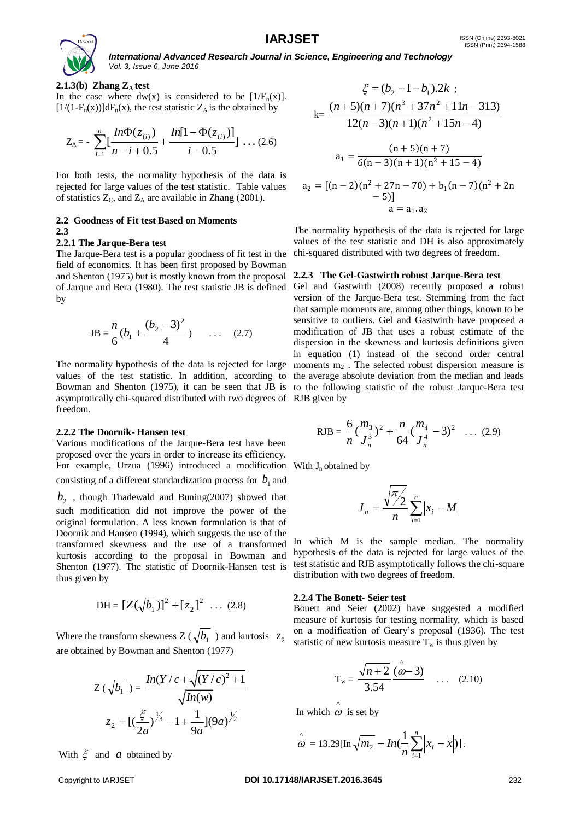

## **2.1.3(b)** Zhang  $Z_A$  test

In the case where dw(x) is considered to be  $[1/F_n(x)]$ .  $[1/(1-F_n(x))]dF_n(x)$ , the test statistic  $Z_A$  is the obtained by

$$
Z_{A} = -\sum_{i=1}^{n} \left[ \frac{ln \Phi(z_{(i)})}{n-i+0.5} + \frac{ln[1-\Phi(z_{(i)})]}{i-0.5} \right] \dots (2.6)
$$

For both tests, the normality hypothesis of the data is rejected for large values of the test statistic. Table values of statistics  $Z_C$ , and  $Z_A$  are available in Zhang (2001).

#### **2.2 Goodness of Fit test Based on Moments 2.3**

#### **2.2.1 The Jarque-Bera test**

The Jarque-Bera test is a popular goodness of fit test in the field of economics. It has been first proposed by Bowman and Shenton (1975) but is mostly known from the proposal of Jarque and Bera (1980). The test statistic JB is defined by

$$
JB = \frac{n}{6} (b_1 + \frac{(b_2 - 3)^2}{4}) \qquad \dots \qquad (2.7)
$$

The normality hypothesis of the data is rejected for large moments  $m_2$ . The selected robust dispersion measure is values of the test statistic. In addition, according to the average absolute deviation from the median and leads Bowman and Shenton (1975), it can be seen that JB is to the following statistic of the robust Jarque-Bera test asymptotically chi-squared distributed with two degrees of RJB given by freedom.

#### **2.2.2 The Doornik- Hansen test**

Various modifications of the Jarque-Bera test have been proposed over the years in order to increase its efficiency. For example, Urzua (1996) introduced a modification With  $J_n$  obtained by consisting of a different standardization process for  $b_1^{\phantom{\dag}}$  and

 $b_2$ , though Thadewald and Buning(2007) showed that such modification did not improve the power of the original formulation. A less known formulation is that of Doornik and Hansen (1994), which suggests the use of the transformed skewness and the use of a transformed kurtosis according to the proposal in Bowman and Shenton (1977). The statistic of Doornik-Hansen test is thus given by

$$
DH = [Z(\sqrt{b_1})]^2 + [z_2]^2 \dots (2.8)
$$

Where the transform skewness  $Z(\sqrt{b_1})$  and kurtosis  $z_2$ are obtained by Bowman and Shenton (1977)

$$
Z(\sqrt{b_1}) = \frac{In(Y/c + \sqrt{(Y/c)^2 + 1})}{\sqrt{In(w)}}
$$

$$
z_2 = [(\frac{\xi}{2a})^{\frac{1}{3}} - 1 + \frac{1}{9a}](9a)^{\frac{1}{2}}
$$

With  $\xi$  and a obtained by

$$
\xi = (b_2 - 1 - b_1).2k ;
$$
\n
$$
k = \frac{(n+5)(n+7)(n^3 + 37n^2 + 11n - 313)}{12(n-3)(n+1)(n^2 + 15n - 4)}
$$
\n
$$
a_1 = \frac{(n+5)(n+7)}{6(n-3)(n+1)(n^2 + 15 - 4)}
$$
\n
$$
a_2 = [(n-2)(n^2 + 27n - 70) + b_1(n-7)(n^2 + 2n - 5)]
$$
\n
$$
a = a_1.a_2
$$

The normality hypothesis of the data is rejected for large values of the test statistic and DH is also approximately chi-squared distributed with two degrees of freedom.

#### **2.2.3 The Gel-Gastwirth robust Jarque-Bera test**

Gel and Gastwirth (2008) recently proposed a robust version of the Jarque-Bera test. Stemming from the fact that sample moments are, among other things, known to be sensitive to outliers. Gel and Gastwirth have proposed a modification of JB that uses a robust estimate of the dispersion in the skewness and kurtosis definitions given in equation (1) instead of the second order central

RJB = 
$$
\frac{6}{n} \left(\frac{m_3}{J_n^3}\right)^2 + \frac{n}{64} \left(\frac{m_4}{J_n^4} - 3\right)^2
$$
 ... (2.9)

$$
J_n = \frac{\sqrt{\pi/2}}{n} \sum_{i=1}^n |x_i - M|
$$

In which M is the sample median. The normality hypothesis of the data is rejected for large values of the test statistic and RJB asymptotically follows the chi-square distribution with two degrees of freedom.

#### **2.2.4 The Bonett- Seier test**

Bonett and Seier (2002) have suggested a modified measure of kurtosis for testing normality, which is based on a modification of Geary's proposal (1936). The test statistic of new kurtosis measure  $T_w$  is thus given by

$$
T_w = \frac{\sqrt{n+2}}{3.54} \frac{(\hat{\omega}-3)}{\hat{\omega}-3} \quad \dots \quad (2.10)
$$

In which  $\omega$  is set by  $\wedge$ 

$$
\hat{\omega} = 13.29[\ln \sqrt{m_2} - In(\frac{1}{n}\sum_{i=1}^{n} |x_i - \overline{x}|)].
$$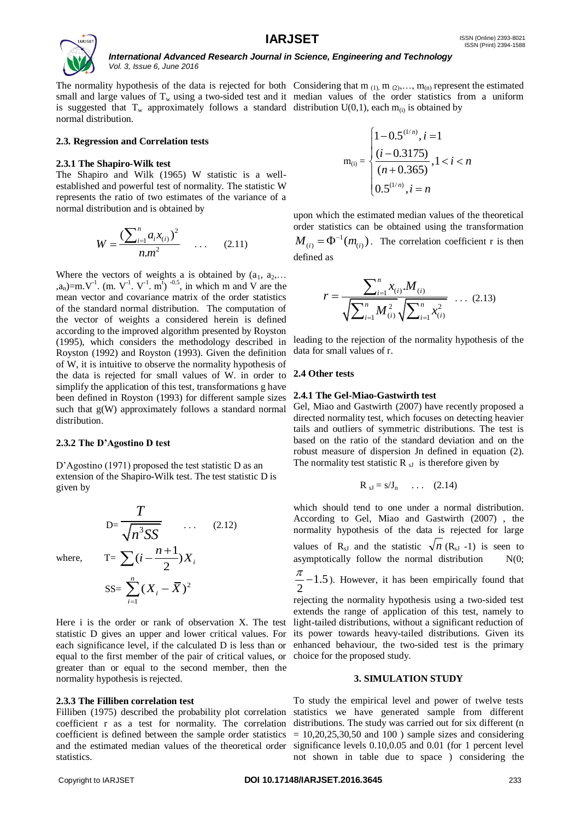

The normality hypothesis of the data is rejected for both Considering that  $m_{(1)}$ ,  $m_{(2)}$ ,...,  $m_{(n)}$  represent the estimated small and large values of  $T_w$  using a two-sided test and it median values of the order statistics from a uniform is suggested that T<sub>w</sub> approximately follows a standard distribution  $U(0,1)$ , each m<sub>(i)</sub> is obtained by normal distribution.

#### **2.3. Regression and Correlation tests**

#### **2.3.1 The Shapiro-Wilk test**

The Shapiro and Wilk (1965) W statistic is a wellestablished and powerful test of normality. The statistic W represents the ratio of two estimates of the variance of a normal distribution and is obtained by

$$
W = \frac{\left(\sum_{i=1}^{n} a_i x_{(i)}\right)^2}{n m^2} \quad \dots \quad (2.11)
$$

Where the vectors of weights a is obtained by  $(a_1, a_2,...)$  $(a_n)$ =m.V<sup>-1</sup>. (m. V<sup>-1</sup>. V<sup>-1</sup>. m<sup>t</sup>)<sup>-0.5</sup>, in which m and V are the mean vector and covariance matrix of the order statistics of the standard normal distribution. The computation of the vector of weights a considered herein is defined according to the improved algorithm presented by Royston (1995), which considers the methodology described in Royston (1992) and Royston (1993). Given the definition of W, it is intuitive to observe the normality hypothesis of the data is rejected for small values of W. in order to simplify the application of this test, transformations g have been defined in Royston (1993) for different sample sizes such that g(W) approximately follows a standard normal distribution.

#### **2.3.2 The D'Agostino D test**

where.

D'Agostino (1971) proposed the test statistic D as an extension of the Shapiro-Wilk test. The test statistic D is given by

$$
D=\frac{T}{\sqrt{n^3SS}} \qquad \dots \qquad (2.12)
$$
  
where, 
$$
T = \sum (i - \frac{n+1}{2})X_i
$$

$$
SS = \sum_{i=1}^n (X_i - \overline{X})^2
$$

Here i is the order or rank of observation X. The test statistic D gives an upper and lower critical values. For each significance level, if the calculated D is less than or equal to the first member of the pair of critical values, or greater than or equal to the second member, then the normality hypothesis is rejected.

#### **2.3.3 The Filliben correlation test**

Filliben (1975) described the probability plot correlation coefficient r as a test for normality. The correlation coefficient is defined between the sample order statistics statistics.

$$
\mathbf{m}_{(i)} = \begin{cases} 1 - 0.5^{(1/n)}, i = 1 \\ \frac{(i - 0.3175)}{(n + 0.365)}, 1 < i < n \\ 0.5^{(1/n)}, i = n \end{cases}
$$

upon which the estimated median values of the theoretical order statistics can be obtained using the transformation  $M_{(i)} = \Phi^{-1}(m_{(i)})$ . The correlation coefficient r is then defined as

$$
r = \frac{\sum_{i=1}^{n} x_{(i)} M_{(i)}}{\sqrt{\sum_{i=1}^{n} M_{(i)}^2} \sqrt{\sum_{i=1}^{n} x_{(i)}^2}} \dots (2.13)
$$

leading to the rejection of the normality hypothesis of the data for small values of r.

#### **2.4 Other tests**

#### **2.4.1 The Gel-Miao-Gastwirth test**

Gel, Miao and Gastwirth (2007) have recently proposed a directed normality test, which focuses on detecting heavier tails and outliers of symmetric distributions. The test is based on the ratio of the standard deviation and on the robust measure of dispersion Jn defined in equation (2). The normality test statistic  $R_{sJ}$  is therefore given by

$$
R_{sJ} = s/J_n \qquad \dots \qquad (2.14)
$$

which should tend to one under a normal distribution. According to Gel, Miao and Gastwirth (2007) , the normality hypothesis of the data is rejected for large values of  $R_{sJ}$  and the statistic  $\sqrt{n}$  ( $R_{sJ}$  -1) is seen to asymptotically follow the normal distribution  $N(0;$  $\frac{\pi}{2}$ -1.5). However, it has been empirically found that

1.5 2

rejecting the normality hypothesis using a two-sided test extends the range of application of this test, namely to light-tailed distributions, without a significant reduction of its power towards heavy-tailed distributions. Given its enhanced behaviour, the two-sided test is the primary choice for the proposed study.

#### **3. SIMULATION STUDY**

and the estimated median values of the theoretical order significance levels 0.10,0.05 and 0.01 (for 1 percent level To study the empirical level and power of twelve tests statistics we have generated sample from different distributions. The study was carried out for six different (n  $= 10,20,25,30,50$  and 100 ) sample sizes and considering not shown in table due to space ) considering the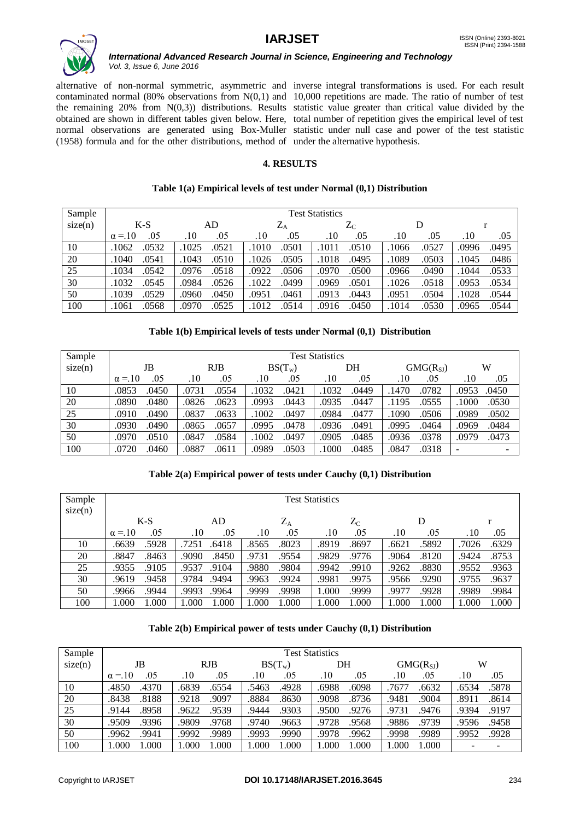

alternative of non-normal symmetric, asymmetric and inverse integral transformations is used. For each result (1958) formula and for the other distributions, method of under the alternative hypothesis.

contaminated normal (80% observations from N(0,1) and 10,000 repetitions are made. The ratio of number of test the remaining  $20\%$  from  $N(0,3)$  distributions. Results statistic value greater than critical value divided by the obtained are shown in different tables given below. Here, total number of repetition gives the empirical level of test normal observations are generated using Box-Muller statistic under null case and power of the test statistic

# **4. RESULTS**

# **Table 1(a) Empirical levels of test under Normal (0,1) Distribution**

| Sample  | <b>Test Statistics</b> |       |           |             |       |       |  |  |  |  |  |  |
|---------|------------------------|-------|-----------|-------------|-------|-------|--|--|--|--|--|--|
| size(n) | $K-S$                  | AD    | $\rm Z_A$ | $Z_{\rm C}$ | D     |       |  |  |  |  |  |  |
|         | $\alpha = 10$          | .05   | .10       | .10         | .10   | .05   |  |  |  |  |  |  |
|         | .05                    | .10   | .05       | .05         | .05   | .10   |  |  |  |  |  |  |
| 10      | .0532                  | .1025 | .1010     | .1011       | .0527 | .0495 |  |  |  |  |  |  |
|         | 1062                   | .0521 | .0501     | .0510       | .1066 | .0996 |  |  |  |  |  |  |
| 20      | 1040                   | .1043 | .0505     | .1018       | .1089 | .0486 |  |  |  |  |  |  |
|         | .0541                  | .0510 | .1026     | .0495       | .0503 | .1045 |  |  |  |  |  |  |
| 25      | 1034                   | .0518 | .0922     | .0970       | .0966 | .0533 |  |  |  |  |  |  |
|         | .0542                  | .0976 | .0506     | .0500       | .0490 | .1044 |  |  |  |  |  |  |
| 30      | 1032                   | .0984 | .1022     | .0969       | .1026 | .0534 |  |  |  |  |  |  |
|         | .0545                  | .0526 | .0499     | .0501       | .0518 | .0953 |  |  |  |  |  |  |
| 50      | .1039                  | .0960 | .0951     | .0913       | .0951 | .0544 |  |  |  |  |  |  |
|         | .0529                  | .0450 | .0461     | .0443       | .0504 | .1028 |  |  |  |  |  |  |
| 100     | 1061                   | .0970 | .1012     | .0916       | .1014 | .0544 |  |  |  |  |  |  |
|         | .0568                  | .0525 | .0514     | .0450       | .0530 | .0965 |  |  |  |  |  |  |

# **Table 1(b) Empirical levels of tests under Normal (0,1) Distribution**

| Sample  |                | <b>Test Statistics</b> |                |                |                |       |  |  |  |  |  |  |  |
|---------|----------------|------------------------|----------------|----------------|----------------|-------|--|--|--|--|--|--|--|
| size(n) | JB             | <b>RJB</b>             | $BS(T_w)$      | DH             | $GMG(R_{SI})$  | W     |  |  |  |  |  |  |  |
|         | .05            | .05                    | .10            | .05            | .05            | .05   |  |  |  |  |  |  |  |
|         | $\alpha = 10$  | .10                    | .05            | .10            | .10            | .10   |  |  |  |  |  |  |  |
| 10      | .0853          | .0731                  | .1032          | .1032          | .0782          | .0953 |  |  |  |  |  |  |  |
|         | .0450          | .0554                  | .0421          | .0449          | .1470          | .0450 |  |  |  |  |  |  |  |
| 20      | .0480          | .0826                  | .0993          | .0935          | .1195          | .1000 |  |  |  |  |  |  |  |
|         | .0890          | .0623                  | .0443          | .0447          | .0555          | .0530 |  |  |  |  |  |  |  |
| 25      | .0490          | .0837                  | .1002          | .0477          | .0506          | .0502 |  |  |  |  |  |  |  |
|         | .0910          | .0633                  | .0497          | .0984          | .1090          | .0989 |  |  |  |  |  |  |  |
| 30      | .0490          | .0865                  | .0995          | .0936          | .0995          | .0484 |  |  |  |  |  |  |  |
|         | .0930          | .0657                  | .0478          | .0491          | .0464          | .0969 |  |  |  |  |  |  |  |
| 50      | .0510          | .0847                  | .1002          | .0485          | .0378          | .0979 |  |  |  |  |  |  |  |
|         | .0970          | .0584                  | .0497          | .0905          | .0936          | .0473 |  |  |  |  |  |  |  |
| 100     | .0460<br>.0720 | .0887<br>.0611         | .0989<br>.0503 | .1000<br>.0485 | .0847<br>.0318 |       |  |  |  |  |  |  |  |

# **Table 2(a) Empirical power of tests under Cauchy (0,1) Distribution**

| Sample<br>size(n) |               | <b>Test Statistics</b> |       |       |       |           |             |       |       |       |       |       |  |
|-------------------|---------------|------------------------|-------|-------|-------|-----------|-------------|-------|-------|-------|-------|-------|--|
|                   | $K-S$         |                        | AD    |       |       | $\rm Z_A$ | $Z_{\rm C}$ |       |       | D     |       |       |  |
|                   | $\alpha = 10$ | .05                    | .10   | .05   | .10   | .05       | .10         | .05   | .10   | .05   | . 10  | .05   |  |
| 10                | .6639         | .5928                  | .7251 | .6418 | .8565 | .8023     | .8919       | .8697 | .6621 | .5892 | .7026 | .6329 |  |
| 20                | .8847         | .8463                  | .9090 | .8450 | .9731 | .9554     | .9829       | .9776 | .9064 | .8120 | .9424 | .8753 |  |
| 25                | .9355         | .9105                  | .9537 | .9104 | .9880 | .9804     | .9942       | .9910 | .9262 | .8830 | .9552 | .9363 |  |
| 30                | .9619         | .9458                  | .9784 | .9494 | .9963 | .9924     | .9981       | .9975 | .9566 | .9290 | .9755 | .9637 |  |
| 50                | .9966         | .9944                  | .9993 | .9964 | 9999. | .9998     | 1.000       | .9999 | .9977 | .9928 | .9989 | .9984 |  |
| 100               | 1.000         | 1.000                  | .000  | 1.000 | 1.000 | 1.000     | 1.000       | 1.000 | 000.1 | 1.000 | 1.000 | 1.000 |  |

# **Table 2(b) Empirical power of tests under Cauchy (0,1) Distribution**

| Sample  |               |                |               | <b>Test Statistics</b> |                |       |
|---------|---------------|----------------|---------------|------------------------|----------------|-------|
| size(n) | JB            | <b>RJB</b>     | $BS(T_w)$     | DH                     | $GMG(R_{SI})$  | W     |
|         | .05           | .05            | .10           | .05                    | .05            | .10   |
|         | $\alpha = 10$ | .10            | .05           | .10                    | .10            | .05   |
| 10      | .4850         | .6839          | .4928         | .6988                  | .7677          | .5878 |
|         | .4370         | .6554          | .5463         | .6098                  | .6632          | .6534 |
| 20      | .8438         | .9097          | .8630         | .9098                  | .9481          | .8911 |
|         | .8188         | .9218          | .8884         | .8736                  | .9004          | .8614 |
| 25      | .9144         | .9539          | .9303         | .9500                  | .9731          | .9197 |
|         | .8958         | .9622          | .9444         | .9276                  | .9476          | .9394 |
| 30      | .9509         | .9809          | .9740         | .9728                  | .9886          | .9458 |
|         | .9396         | .9768          | .9663         | .9568                  | .9739          | 9596. |
| 50      | .9962         | .9992          | .9990         | .9978                  | .9998          | .9928 |
|         | .9941         | .9989          | .9993         | .9962                  | .9989          | .9952 |
| 100     | .000<br>.000  | 1.000<br>1.000 | .000<br>000.1 | 1.000<br>1.000         | 1.000<br>1.000 |       |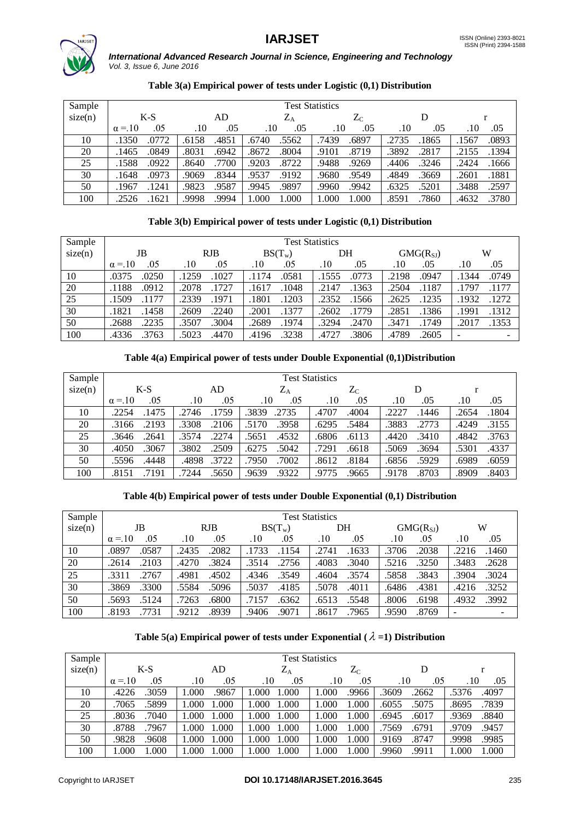



# **Table 3(a) Empirical power of tests under Logistic (0,1) Distribution**

| Sample  |               |       |       |       |       |           | <b>Test Statistics</b> |             |       |       |       |       |
|---------|---------------|-------|-------|-------|-------|-----------|------------------------|-------------|-------|-------|-------|-------|
| size(n) |               | $K-S$ |       | AD    |       | $\rm Z_A$ |                        | $\rm Z_{C}$ |       |       |       |       |
|         | $\alpha = 10$ | .05   | .10   | .05   | .10   | .05       | .10                    | .05         | .10   | .05   | .10   | .05   |
| 10      | .1350         | .0772 | .6158 | .4851 | .6740 | .5562     | .7439                  | .6897       | .2735 | .1865 | .1567 | .0893 |
| 20      | .1465         | .0849 | .8031 | .6942 | .8672 | .8004     | .9101                  | .8719       | .3892 | .2817 | .2155 | .1394 |
| 25      | .1588         | .0922 | .8640 | .7700 | .9203 | .8722     | .9488                  | .9269       | .4406 | .3246 | .2424 | .1666 |
| 30      | .1648         | .0973 | .9069 | .8344 | .9537 | .9192     | .9680                  | .9549       | .4849 | .3669 | .2601 | .1881 |
| 50      | .1967         | .1241 | .9823 | .9587 | .9945 | .9897     | .9960                  | .9942       | .6325 | .5201 | .3488 | .2597 |
| 100     | .2526         | 1621  | .9998 | .9994 | 1.000 | 1.000     | 1.000                  | 1.000       | .8591 | .7860 | .4632 | .3780 |

# **Table 3(b) Empirical power of tests under Logistic (0,1) Distribution**

| Sample  |                | <b>Test Statistics</b> |                |                |                |       |  |  |  |  |  |  |  |
|---------|----------------|------------------------|----------------|----------------|----------------|-------|--|--|--|--|--|--|--|
| size(n) | JB             | <b>RJB</b>             |                | DH             | $GMG(R_{SI})$  | W     |  |  |  |  |  |  |  |
|         | .05            | .05                    | .10            | .05            | .05            | .05   |  |  |  |  |  |  |  |
|         | $\alpha = 10$  | .10                    | .05            | .10            | $.10\,$        | .10   |  |  |  |  |  |  |  |
| 10      | .0375          | .1259                  | .0581          | .1555          | .0947          | .0749 |  |  |  |  |  |  |  |
|         | .0250          | .1027                  | .1174          | .0773          | .2198          | .1344 |  |  |  |  |  |  |  |
| 20      | .1188          | .2078                  | .1617          | .1363          | .2504          | .1177 |  |  |  |  |  |  |  |
|         | .0912          | 1727                   | 1048           | .2147          | .1187          | .1797 |  |  |  |  |  |  |  |
| 25      | .1509          | .2339                  | .1801          | .2352          | .1235          | .1932 |  |  |  |  |  |  |  |
|         | .1177          | 1971                   | .1203          | .1566          | .2625          | .1272 |  |  |  |  |  |  |  |
| 30      | .1821          | .2609                  | .2001          | .2602          | .2851          | .1991 |  |  |  |  |  |  |  |
|         | .1458          | .2240                  | .1377          | .1779          | .1386          | .1312 |  |  |  |  |  |  |  |
| 50      | .2235          | .3507                  | .1974          | .3294          | .3471          | .1353 |  |  |  |  |  |  |  |
|         | .2688          | .3004                  | .2689          | .2470          | .1749          | .2017 |  |  |  |  |  |  |  |
| 100     | .3763<br>.4336 | .4470<br>.5023         | .3238<br>.4196 | .4727<br>.3806 | .4789<br>.2605 |       |  |  |  |  |  |  |  |

# **Table 4(a) Empirical power of tests under Double Exponential (0,1)Distribution**

| Sample  |               |       |           | <b>Test Statistics</b> |       |       |
|---------|---------------|-------|-----------|------------------------|-------|-------|
| size(n) | $K-S$         | AD    | $\rm Z_A$ | $\rm Z_{C}$            | D     |       |
|         | .05           | .05   | .05       | .05                    | .05   | .05   |
|         | $\alpha = 10$ | .10   | .10       | .10                    | .10   | .10   |
| 10      | .1475         | 1759  | 3839      | .4707                  | .2227 | .1804 |
|         | .2254         | .2746 | .2735     | .4004                  | 1446  | .2654 |
| 20      | .2193         | .3308 | .3958     | .6295                  | .3883 | .3155 |
|         | .3166         | .2106 | .5170     | .5484                  | .2773 | .4249 |
| 25      | .3646         | .2274 | .5651     | .6806                  | .4420 | .3763 |
|         | .2641         | .3574 | .4532     | .6113                  | .3410 | .4842 |
| 30      | .3067         | .3802 | .5042     | .7291                  | .5069 | .4337 |
|         | .4050         | .2509 | .6275     | .6618                  | .3694 | .5301 |
| 50      | .4448         | .4898 | 7950      | .8184                  | .5929 | .6059 |
|         | .5596         | .3722 | .7002     | .8612                  | .6856 | .6989 |
| 100     | .7191         | .7244 | .9322     | .9775                  | .8703 | .8403 |
|         | .8151         | .5650 | .9639     | .9665                  | .9178 | .8909 |

# **Table 4(b) Empirical power of tests under Double Exponential (0,1) Distribution**

| Sample  |                |                |                | <b>Test Statistics</b> |                |       |
|---------|----------------|----------------|----------------|------------------------|----------------|-------|
| size(n) | JB             | <b>RJB</b>     | $BS(T_w)$      | DH                     | $GMG(R_{SI})$  | W     |
|         | .05            | .05            | .10            | .05                    | .05            | .10   |
|         | $\alpha = 10$  | .10            | .05            | .10                    | .10            | .05   |
| 10      | .0897          | .2082          | 1733           | .2741                  | .3706          | .2216 |
|         | .0587          | .2435          | .1154          | .1633                  | .2038          | .1460 |
| 20      | .2103          | .4270          | .3514          | .4083                  | .3250          | .2628 |
|         | .2614          | .3824          | .2756          | .3040                  | .5216          | .3483 |
| 25      | .2767          | .4981          | .4346          | .3574                  | .5858          | .3904 |
|         | .3311          | .4502          | .3549          | .4604                  | .3843          | .3024 |
| 30      | .3869          | .5584          | 5037           | .5078                  | .4381          | .3252 |
|         | .3300          | .5096          | .4185          | .4011                  | .6486          | .4216 |
| 50      | .5693          | .6800          | .7157          | .5548                  | .8006          | .3992 |
|         | .5124          | .7263          | .6362          | .6513                  | .6198          | .4932 |
| 100     | .8193<br>.7731 | .8939<br>.9212 | .9406<br>.9071 | .7965<br>.8617         | .9590<br>.8769 |       |

# Table 5(a) Empirical power of tests under Exponential ( $\lambda = 1$ ) Distribution

| Sample  |               |       |         |             |       | <b>Test Statistics</b> |         |       |       |       |       |       |  |  |  |  |  |
|---------|---------------|-------|---------|-------------|-------|------------------------|---------|-------|-------|-------|-------|-------|--|--|--|--|--|
| size(n) | $K-S$         |       | AD      | $Z_{\rm A}$ |       | $Z_{\rm C}$            |         |       | D     |       |       |       |  |  |  |  |  |
|         | $\alpha = 10$ | .05   | $.10\,$ | .05         | .10   | .05                    | $.10\,$ | .05   | .10   | .05   | . 10  | .05   |  |  |  |  |  |
| 10      | .4226         | .3059 | 1.000   | .9867       | 1.000 | 1.000                  | 1.000   | .9966 | .3609 | .2662 | .5376 | .4097 |  |  |  |  |  |
| 20      | .7065         | .5899 | 1.000   | 1.000       | 1.000 | 1.000                  | 1.000   | 1.000 | .6055 | .5075 | .8695 | .7839 |  |  |  |  |  |
| 25      | .8036         | .7040 | 1.000   | 1.000       | 1.000 | 1.000                  | 1.000   | 1.000 | .6945 | .6017 | .9369 | .8840 |  |  |  |  |  |
| 30      | .8788         | .7967 | 1.000   | 1.000       | 1.000 | 1.000                  | 1.000   | 1.000 | .7569 | .6791 | .9709 | .9457 |  |  |  |  |  |
| 50      | .9828         | .9608 | 1.000   | 1.000       | 1.000 | 1.000                  | 1.000   | 1.000 | .9169 | .8747 | .9998 | .9985 |  |  |  |  |  |
| 100     | l.000         | 1.000 | 1.000   | 1.000       | 1.000 | 1.000                  | 1.000   | 1.000 | .9960 | .9911 | 1.000 | 1.000 |  |  |  |  |  |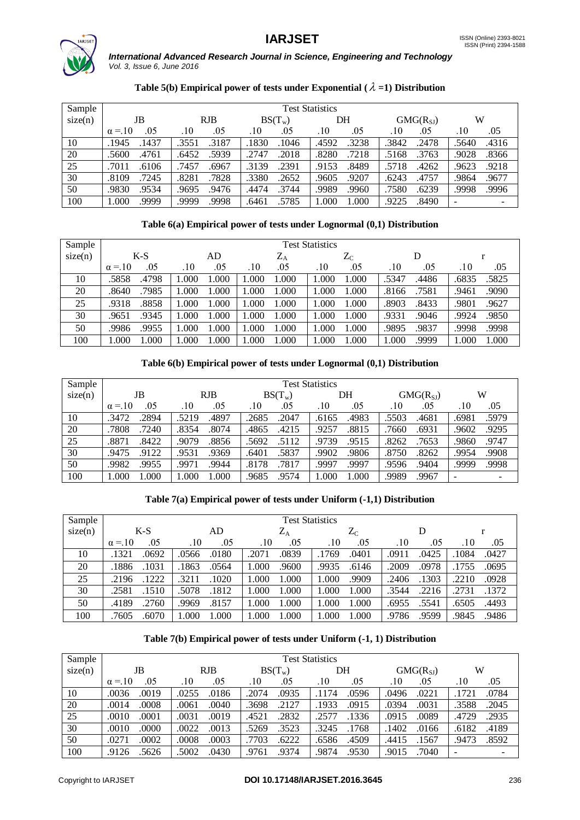



# Table 5(b) Empirical power of tests under Exponential  $(\lambda =1)$  Distribution

| Sample  |                | <b>Test Statistics</b> |                |                |                |       |  |  |  |  |  |  |  |
|---------|----------------|------------------------|----------------|----------------|----------------|-------|--|--|--|--|--|--|--|
| size(n) | JB             | RJB                    | $BS(T_w)$      | DH             | $GMG(R_{SI})$  | W     |  |  |  |  |  |  |  |
|         | .05            | .05                    | .05            | .05            | .05            | .10   |  |  |  |  |  |  |  |
|         | $\alpha = 10$  | .10                    | .10            | .10            | .10            | .05   |  |  |  |  |  |  |  |
| 10      | .1437          | .3187                  | 1830           | .3238          | .3842          | .5640 |  |  |  |  |  |  |  |
|         | .1945          | .3551                  | .1046          | .4592          | .2478          | .4316 |  |  |  |  |  |  |  |
| 20      | .5600          | .5939                  | .2747          | .8280          | .3763          | .9028 |  |  |  |  |  |  |  |
|         | .4761          | .6452                  | .2018          | .7218          | .5168          | .8366 |  |  |  |  |  |  |  |
| 25      | .7011          | .7457                  | .3139          | .9153          | .5718          | .9623 |  |  |  |  |  |  |  |
|         | .6106          | .6967                  | .2391          | .8489          | .4262          | .9218 |  |  |  |  |  |  |  |
| 30      | .8109          | .8281                  | .3380          | .9207          | .4757          | .9864 |  |  |  |  |  |  |  |
|         | .7245          | .7828                  | .2652          | .9605          | .6243          | .9677 |  |  |  |  |  |  |  |
| 50      | .9830          | .9476                  | .4474          | .9989          | .7580          | .9996 |  |  |  |  |  |  |  |
|         | .9534          | .9695                  | .3744          | .9960          | .6239          | .9998 |  |  |  |  |  |  |  |
| 100     | l.000<br>.9999 | 9999.<br>.9998         | .5785<br>.6461 | 1.000<br>1.000 | .8490<br>.9225 |       |  |  |  |  |  |  |  |

# **Table 6(a) Empirical power of tests under Lognormal (0,1) Distribution**

| Sample  |               |       |       |      |       |           | <b>Test Statistics</b> |             |       |       |       |       |
|---------|---------------|-------|-------|------|-------|-----------|------------------------|-------------|-------|-------|-------|-------|
| size(n) |               | $K-S$ |       | AD   |       | $\rm Z_A$ |                        | $\rm Z_{C}$ |       | D     |       |       |
|         | $\alpha = 10$ | .05   | .10   | .05  | .10   | .05       | .10                    | .05         | .10   | .05   | .10   | .05   |
| 10      | .5858         | .4798 | 1.000 | .000 | 1.000 | 1.000     | .000                   | 1.000       | .5347 | .4486 | .6835 | .5825 |
| 20      | .8640         | 7985  | 1.000 | .000 | .000  | 1.000     | .000                   | 1.000       | .8166 | .7581 | .9461 | .9090 |
| 25      | .9318         | .8858 | 1.000 | .000 | 1.000 | 1.000     | .000                   | 1.000       | .8903 | .8433 | .9801 | .9627 |
| 30      | .9651         | .9345 | 1.000 | .000 | 1.000 | 1.000     | .000                   | 1.000       | .9331 | .9046 | .9924 | .9850 |
| 50      | .9986         | .9955 | 1.000 | .000 | 1.000 | 1.000     | .000                   | 1.000       | .9895 | .9837 | .9998 | .9998 |
| 100     | 1.000         | .000  | 1.000 | .000 | 1.000 | 1.000     | .000                   | 1.000       | 1.000 | 9999. | 1.000 | 1.000 |

# **Table 6(b) Empirical power of tests under Lognormal (0,1) Distribution**

| Sample  |                |               |                | <b>Test Statistics</b> |                |       |
|---------|----------------|---------------|----------------|------------------------|----------------|-------|
| size(n) | JB             | <b>RJB</b>    | $BS(T_w)$      | DH                     | $GMG(R_{SI})$  | W     |
|         | .05            | .05           | .05            | .05                    | .05            | .05   |
|         | $\alpha = 10$  | .10           | .10            | .10                    | .10            | .10   |
| 10      | .3472          | .5219         | 2685           | .4983                  | .5503          | .5979 |
|         | .2894          | .4897         | .2047          | .6165                  | .4681          | .6981 |
| 20      | .7808          | .8354         | .4865          | .8815                  | .6931          | .9295 |
|         | .7240          | .8074         | .4215          | .9257                  | .7660          | 9602  |
| 25      | .8871          | .9079         | 5692           | .9739                  | .8262          | .9747 |
|         | .8422          | .8856         | .5112          | .9515                  | .7653          | 9860  |
| 30      | .9122          | .9531         | .5837          | .9806                  | .8750          | .9908 |
|         | .9475          | .9369         | 6401           | .9902                  | .8262          | 9954  |
| 50      | .9982          | .9971         | .8178          | .9997                  | .9596          | .9998 |
|         | .9955          | 9944          | .7817          | .9997                  | .9404          | 9999  |
| 100     | 000.1<br>1.000 | .000<br>1.000 | .9574<br>9685. | 1.000<br>1.000         | .9989<br>.9967 | -     |

# **Table 7(a) Empirical power of tests under Uniform (-1,1) Distribution**

| Sample  | <b>Test Statistics</b> |       |           |           |       |       |  |  |
|---------|------------------------|-------|-----------|-----------|-------|-------|--|--|
| size(n) | $K-S$                  | AD    | $\rm Z_A$ | $\rm Z_C$ |       |       |  |  |
|         | .05                    | .10   | .05       | .05       | .10   | .05   |  |  |
|         | $\alpha = 10$          | .05   | .10       | .10       | .05   | .10   |  |  |
| 10      | .1321                  | .0180 | .0839     | .1769     | .0911 | .0427 |  |  |
|         | .0692                  | .0566 | .2071     | .0401     | .0425 | 1084  |  |  |
| 20      | .1031                  | .1863 | 1.000     | .9935     | .2009 | .0695 |  |  |
|         | .1886                  | .0564 | .9600     | .6146     | .0978 | .1755 |  |  |
| 25      | 1222                   | .3211 | 1.000     | 1.000     | .1303 | .0928 |  |  |
|         | .2196                  | 1020  | 1.000     | .9909     | .2406 | .2210 |  |  |
| 30      | .2581                  | .5078 | 1.000     | 1.000     | .3544 | .1372 |  |  |
|         | .1510                  | .1812 | 1.000     | 1.000     | .2216 | .2731 |  |  |
| 50      | .4189                  | .9969 | 1.000     | 1.000     | .5541 | .6505 |  |  |
|         | .2760                  | .8157 | 1.000     | 1.000     | .6955 | .4493 |  |  |
| 100     | .6070                  | .000  | 1.000     | 1.000     | .9599 | .9845 |  |  |
|         | .7605                  | 1.000 | 1.000     | 1.000     | .9786 | .9486 |  |  |

# **Table 7(b) Empirical power of tests under Uniform (-1, 1) Distribution**

| Sample  | <b>Test Statistics</b> |                |                |                |                |                          |  |  |
|---------|------------------------|----------------|----------------|----------------|----------------|--------------------------|--|--|
| size(n) | JB                     | <b>RJB</b>     | $BS(T_w)$      | DH             | $GMG(R_{SI})$  | W                        |  |  |
|         | .05                    | .05            | .10            | .05            | .05            | .10                      |  |  |
|         | $\alpha = 10$          | .10            | .05            | .10            | .10            | .05                      |  |  |
| 10      | .0036                  | .0186          | 2074           | .0596          | .0496          | .0784                    |  |  |
|         | .0019                  | .0255          | .0935          | .1174          | .0221          | 1721                     |  |  |
| 20      | .0008                  | .0061          | 3698           | .1933          | .0394          | .3588                    |  |  |
|         | .0014                  | .0040          | .2127          | .0915          | .0031          | .2045                    |  |  |
| 25      | .0001                  | .0031          | .4521          | .2577          | .0089          | .4729                    |  |  |
|         | .0010                  | .0019          | .2832          | .1336          | .0915          | .2935                    |  |  |
| 30      | .0000                  | .0022          | .5269          | .3245          | .1402          | .4189                    |  |  |
|         | .0010                  | .0013          | .3523          | .1768          | .0166          | .6182                    |  |  |
| 50      | .0002                  | .0003          | 7703           | .6586          | .1567          | .8592                    |  |  |
|         | .0271                  | .0008          | .6222          | .4509          | .4415          | .9473                    |  |  |
| 100     | 5626<br>.9126          | .0430<br>.5002 | .9761<br>.9374 | 9874.<br>.9530 | .7040<br>.9015 | $\overline{\phantom{a}}$ |  |  |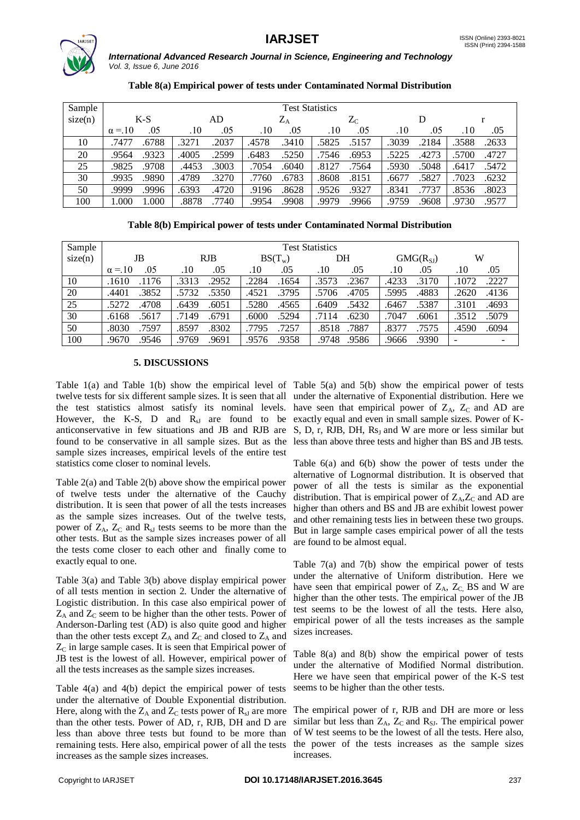

| Table 8(a) Empirical power of tests under Contaminated Normal Distribution |  |
|----------------------------------------------------------------------------|--|
|----------------------------------------------------------------------------|--|

| Sample  | <b>Test Statistics</b> |       |       |       |           |       |                  |       |       |       |       |       |
|---------|------------------------|-------|-------|-------|-----------|-------|------------------|-------|-------|-------|-------|-------|
| size(n) | $K-S$                  |       | AD    |       | $\rm Z_A$ |       | $Z_{\mathrm{C}}$ |       |       |       |       |       |
|         | $\alpha = 10$          | .05   | .10   | .05   | .10       | .05   | .10              | .05   | .10   | .05   | .10   | .05   |
| 10      | .7477                  | .6788 | .3271 | .2037 | .4578     | .3410 | .5825            | .5157 | .3039 | .2184 | .3588 | .2633 |
| 20      | .9564                  | .9323 | .4005 | .2599 | .6483     | .5250 | .7546            | .6953 | .5225 | .4273 | .5700 | .4727 |
| 25      | .9825                  | .9708 | .4453 | .3003 | .7054     | .6040 | .8127            | .7564 | .5930 | .5048 | .6417 | .5472 |
| 30      | .9935                  | .9890 | .4789 | .3270 | .7760     | .6783 | .8608            | .8151 | .6677 | .5827 | .7023 | .6232 |
| 50      | .9999                  | .9996 | .6393 | .4720 | .9196     | .8628 | .9526            | .9327 | .8341 | .7737 | .8536 | .8023 |
| 100     | 1.000                  | 1.000 | .8878 | .7740 | .9954     | .9908 | .9979            | .9966 | .9759 | .9608 | .9730 | .9577 |

**Table 8(b) Empirical power of tests under Contaminated Normal Distribution**

| Sample  | <b>Test Statistics</b> |                |                |                |                |       |  |  |
|---------|------------------------|----------------|----------------|----------------|----------------|-------|--|--|
| size(n) | <b>RJB</b><br>JB       |                | $BS(T_w)$      | DH             | $GMG(R_{SI})$  | W     |  |  |
|         | .05                    | .05            | .05            | .05            | .05            | .05   |  |  |
|         | $\alpha = 10$          | .10            | .10            | .10            | .10            | .10   |  |  |
| 10      | .1176                  | .3313          | .2284          | .3573          | .4233          | .1072 |  |  |
|         | .1610                  | .2952          | .1654          | .2367          | .3170          | .2227 |  |  |
| 20      | .3852                  | .5732          | .4521          | .5706          | .5995          | .2620 |  |  |
|         | .4401                  | .5350          | .3795          | .4705          | .4883          | .4136 |  |  |
| 25      | .5272                  | .6439          | .5280          | .6409          | .5387          | .4693 |  |  |
|         | .4708                  | .6051          | .4565          | .5432          | .6467          | .3101 |  |  |
| 30      | .6168                  | .7149          | .6000          | .6230          | .7047          | .3512 |  |  |
|         | .5617                  | .6791          | .5294          | .7114          | .6061          | .5079 |  |  |
| 50      | .8030                  | .8597          | .7795          | .7887          | .8377          | .4590 |  |  |
|         | .7597                  | .8302          | .7257          | .8518          | .7575          | .6094 |  |  |
| 100     | .9670<br>.9546         | .9769<br>.9691 | .9576<br>.9358 | .9748<br>.9586 | .9390<br>.9666 | -     |  |  |

# **5. DISCUSSIONS**

Table 1(a) and Table 1(b) show the empirical level of Table 5(a) and 5(b) show the empirical power of tests twelve tests for six different sample sizes. It is seen that all under the alternative of Exponential distribution. Here we the test statistics almost satisfy its nominal levels. have seen that empirical power of  $Z_A$ ,  $Z_C$  and AD are However, the K-S, D and  $R_{sJ}$  are found to be exactly equal and even in small sample sizes. Power of Kanticonservative in few situations and JB and RJB are S, D, r, RJB, DH, Rs<sub>J</sub> and W are more or less similar but found to be conservative in all sample sizes. But as the sample sizes increases, empirical levels of the entire test statistics come closer to nominal levels.

Table 2(a) and Table 2(b) above show the empirical power of twelve tests under the alternative of the Cauchy distribution. It is seen that power of all the tests increases as the sample sizes increases. Out of the twelve tests, power of  $Z_A$ ,  $Z_C$  and  $R_{sJ}$  tests seems to be more than the other tests. But as the sample sizes increases power of all the tests come closer to each other and finally come to exactly equal to one.

Table 3(a) and Table 3(b) above display empirical power of all tests mention in section 2. Under the alternative of Logistic distribution. In this case also empirical power of  $Z_A$  and  $Z_C$  seem to be higher than the other tests. Power of Anderson-Darling test (AD) is also quite good and higher than the other tests except  $Z_A$  and  $Z_C$  and closed to  $Z_A$  and  $Z<sub>C</sub>$  in large sample cases. It is seen that Empirical power of JB test is the lowest of all. However, empirical power of all the tests increases as the sample sizes increases.

Table 4(a) and 4(b) depict the empirical power of tests under the alternative of Double Exponential distribution. Here, along with the  $Z_A$  and  $Z_C$  tests power of  $R_{sJ}$  are more than the other tests. Power of AD, r, RJB, DH and D are less than above three tests but found to be more than remaining tests. Here also, empirical power of all the tests increases as the sample sizes increases.

less than above three tests and higher than BS and JB tests.

Table 6(a) and 6(b) show the power of tests under the alternative of Lognormal distribution. It is observed that power of all the tests is similar as the exponential distribution. That is empirical power of  $Z_A$ , $Z_C$  and AD are higher than others and BS and JB are exhibit lowest power and other remaining tests lies in between these two groups. But in large sample cases empirical power of all the tests are found to be almost equal.

Table 7(a) and 7(b) show the empirical power of tests under the alternative of Uniform distribution. Here we have seen that empirical power of  $Z_A$ ,  $Z_C$  BS and W are higher than the other tests. The empirical power of the JB test seems to be the lowest of all the tests. Here also, empirical power of all the tests increases as the sample sizes increases.

Table 8(a) and 8(b) show the empirical power of tests under the alternative of Modified Normal distribution. Here we have seen that empirical power of the K-S test seems to be higher than the other tests.

The empirical power of r, RJB and DH are more or less similar but less than  $Z_A$ ,  $Z_C$  and  $R_{SJ}$ . The empirical power of W test seems to be the lowest of all the tests. Here also, the power of the tests increases as the sample sizes increases.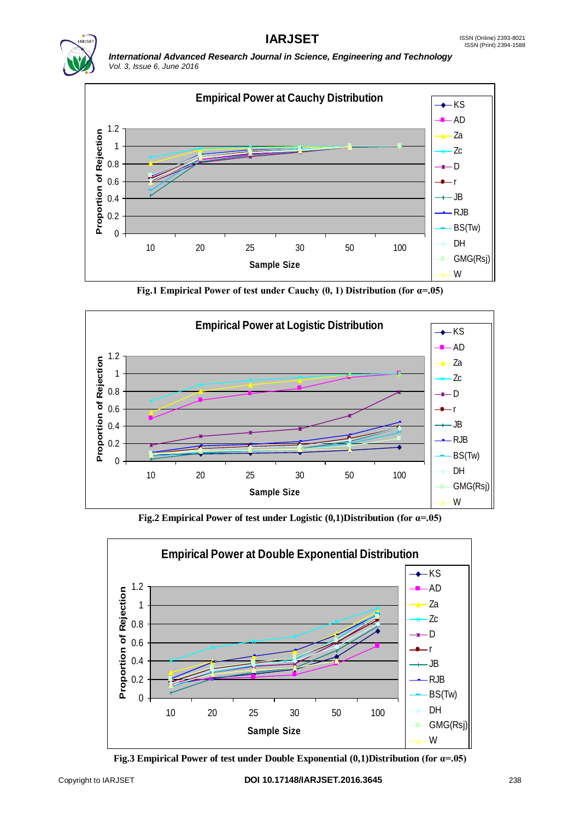



**Fig.1 Empirical Power of test under Cauchy (0, 1) Distribution (for α=.05)**



**Fig.2 Empirical Power of test under Logistic (0,1)Distribution (for α=.05)**



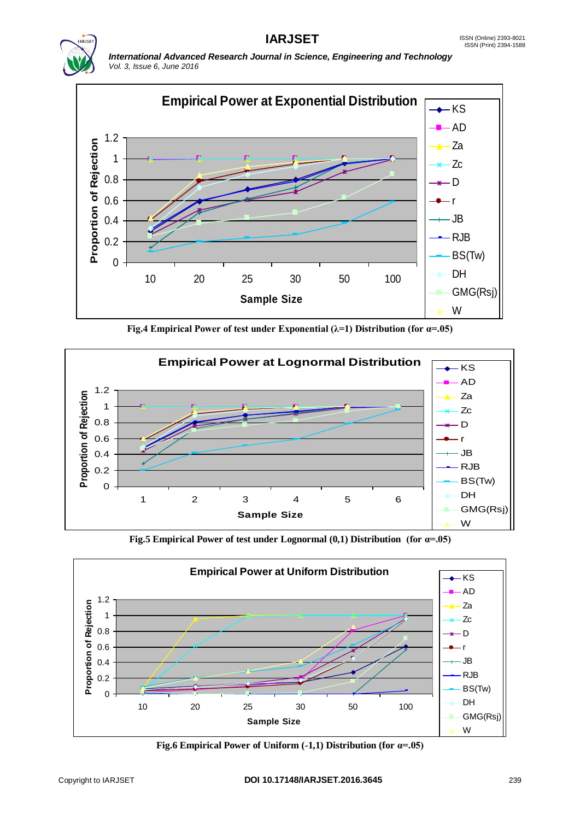



**Fig.4 Empirical Power of test under Exponential (λ=1) Distribution (for α=.05)**



**Fig.5 Empirical Power of test under Lognormal (0,1) Distribution (for α=.05)**



**Fig.6 Empirical Power of Uniform (-1,1) Distribution (for α=.05)**